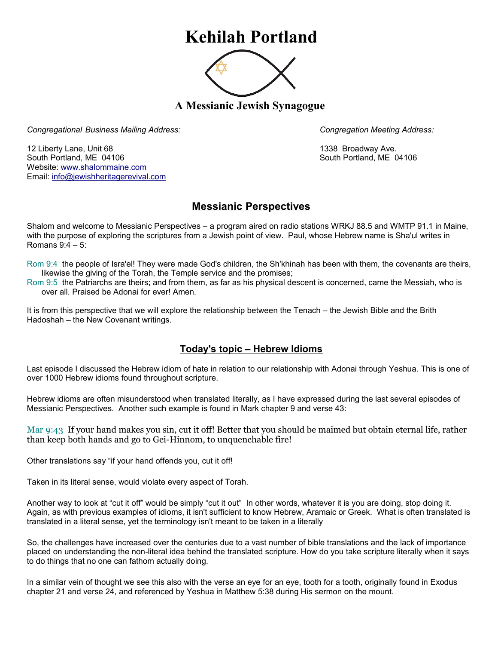## **Kehilah Portland**



**A Messianic Jewish Synagogue** 

*Congregational Business Mailing Address: Congregation Meeting Address:*

12 Liberty Lane, Unit 68 1338 Broadway Ave. South Portland, ME 04106 South Portland, ME 04106 Website: [www.shalommaine.com](http://www.shalommaine.com/) Email: [info@jewishheritagerevival.com](mailto:info@jewishheritagerevival.com) 

## **Messianic Perspectives**

Shalom and welcome to Messianic Perspectives – a program aired on radio stations WRKJ 88.5 and WMTP 91.1 in Maine, with the purpose of exploring the scriptures from a Jewish point of view. Paul, whose Hebrew name is Sha'ul writes in Romans 9:4 – 5:

Rom 9:4 the people of Isra'el! They were made God's children, the Sh'khinah has been with them, the covenants are theirs, likewise the giving of the Torah, the Temple service and the promises;

Rom 9:5 the Patriarchs are theirs; and from them, as far as his physical descent is concerned, came the Messiah, who is over all. Praised be Adonai for ever! Amen.

It is from this perspective that we will explore the relationship between the Tenach – the Jewish Bible and the Brith Hadoshah – the New Covenant writings.

## **Today's topic – Hebrew Idioms**

Last episode I discussed the Hebrew idiom of hate in relation to our relationship with Adonai through Yeshua. This is one of over 1000 Hebrew idioms found throughout scripture.

Hebrew idioms are often misunderstood when translated literally, as I have expressed during the last several episodes of Messianic Perspectives. Another such example is found in Mark chapter 9 and verse 43:

Mar 9:43 If your hand makes you sin, cut it off! Better that you should be maimed but obtain eternal life, rather than keep both hands and go to Gei-Hinnom, to unquenchable fire!

Other translations say "if your hand offends you, cut it off!

Taken in its literal sense, would violate every aspect of Torah.

Another way to look at "cut it off" would be simply "cut it out" In other words, whatever it is you are doing, stop doing it. Again, as with previous examples of idioms, it isn't sufficient to know Hebrew, Aramaic or Greek. What is often translated is translated in a literal sense, yet the terminology isn't meant to be taken in a literally

So, the challenges have increased over the centuries due to a vast number of bible translations and the lack of importance placed on understanding the non-literal idea behind the translated scripture. How do you take scripture literally when it says to do things that no one can fathom actually doing.

In a similar vein of thought we see this also with the verse an eye for an eye, tooth for a tooth, originally found in Exodus chapter 21 and verse 24, and referenced by Yeshua in Matthew 5:38 during His sermon on the mount.